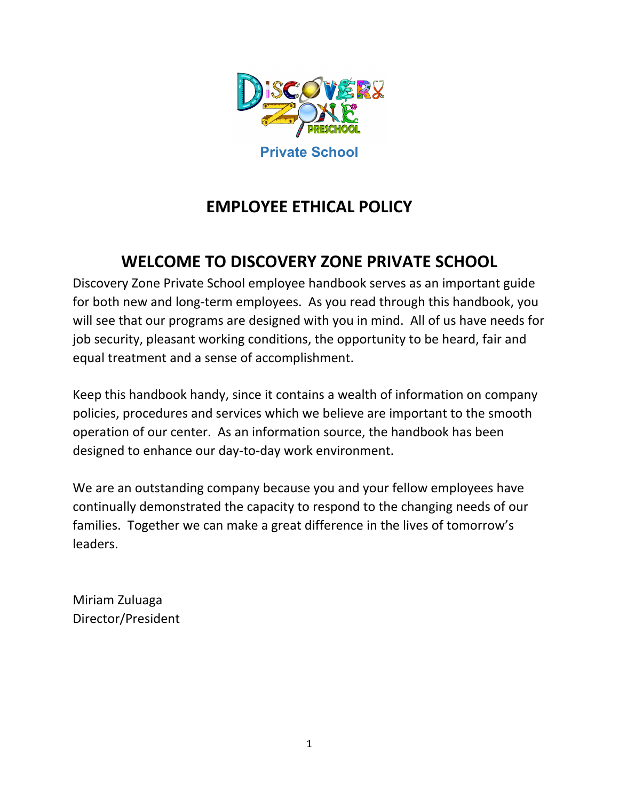

# **EMPLOYEE ETHICAL POLICY**

## **WELCOME TO DISCOVERY ZONE PRIVATE SCHOOL**

Discovery Zone Private School employee handbook serves as an important guide for both new and long-term employees. As you read through this handbook, you will see that our programs are designed with you in mind. All of us have needs for job security, pleasant working conditions, the opportunity to be heard, fair and equal treatment and a sense of accomplishment.

Keep this handbook handy, since it contains a wealth of information on company policies, procedures and services which we believe are important to the smooth operation of our center. As an information source, the handbook has been designed to enhance our day-to-day work environment.

We are an outstanding company because you and your fellow employees have continually demonstrated the capacity to respond to the changing needs of our families. Together we can make a great difference in the lives of tomorrow's leaders.

Miriam Zuluaga Director/President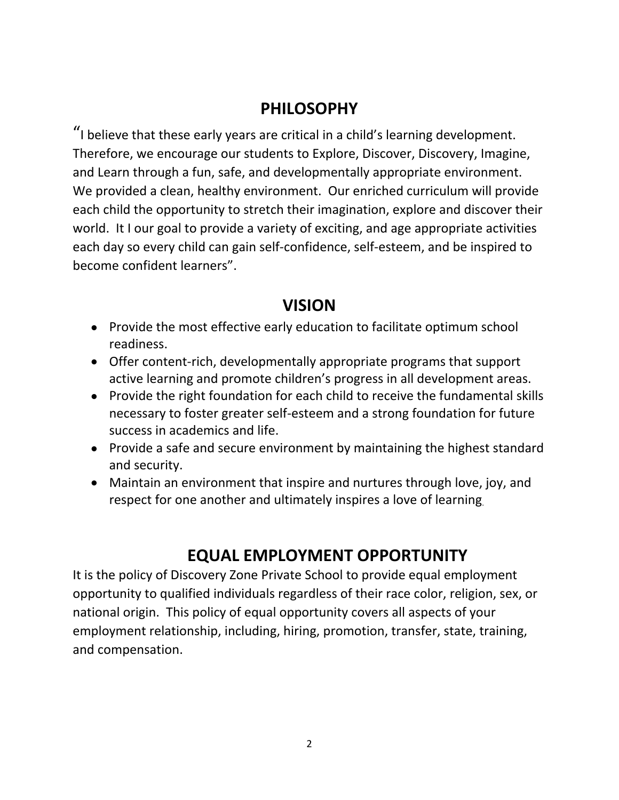#### **PHILOSOPHY**

"I believe that these early years are critical in a child's learning development. Therefore, we encourage our students to Explore, Discover, Discovery, Imagine, and Learn through a fun, safe, and developmentally appropriate environment. We provided a clean, healthy environment. Our enriched curriculum will provide each child the opportunity to stretch their imagination, explore and discover their world. It I our goal to provide a variety of exciting, and age appropriate activities each day so every child can gain self-confidence, self-esteem, and be inspired to become confident learners".

#### **VISION**

- Provide the most effective early education to facilitate optimum school readiness.
- Offer content-rich, developmentally appropriate programs that support active learning and promote children's progress in all development areas.
- Provide the right foundation for each child to receive the fundamental skills necessary to foster greater self-esteem and a strong foundation for future success in academics and life.
- Provide a safe and secure environment by maintaining the highest standard and security.
- Maintain an environment that inspire and nurtures through love, joy, and respect for one another and ultimately inspires a love of learning.

# **EQUAL EMPLOYMENT OPPORTUNITY**

It is the policy of Discovery Zone Private School to provide equal employment opportunity to qualified individuals regardless of their race color, religion, sex, or national origin. This policy of equal opportunity covers all aspects of your employment relationship, including, hiring, promotion, transfer, state, training, and compensation.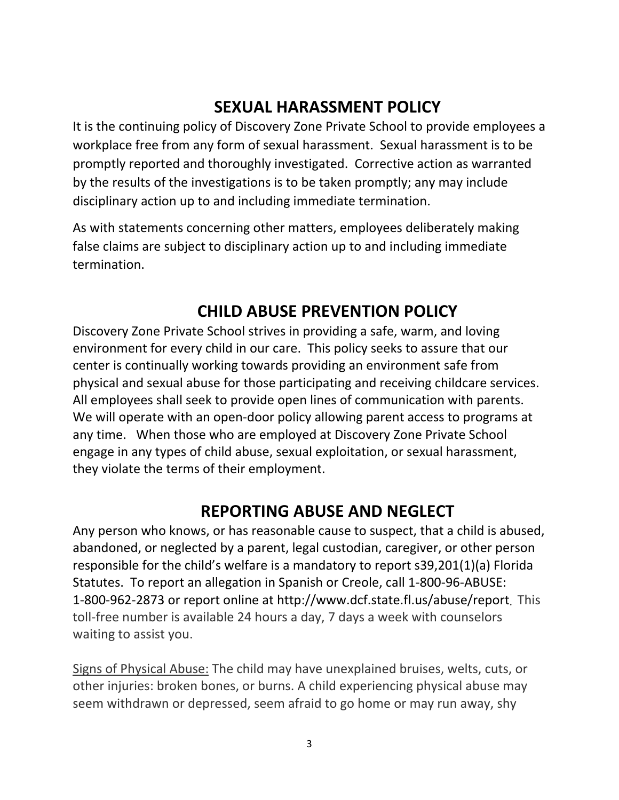## **SEXUAL HARASSMENT POLICY**

It is the continuing policy of Discovery Zone Private School to provide employees a workplace free from any form of sexual harassment. Sexual harassment is to be promptly reported and thoroughly investigated. Corrective action as warranted by the results of the investigations is to be taken promptly; any may include disciplinary action up to and including immediate termination.

As with statements concerning other matters, employees deliberately making false claims are subject to disciplinary action up to and including immediate termination.

### **CHILD ABUSE PREVENTION POLICY**

Discovery Zone Private School strives in providing a safe, warm, and loving environment for every child in our care. This policy seeks to assure that our center is continually working towards providing an environment safe from physical and sexual abuse for those participating and receiving childcare services. All employees shall seek to provide open lines of communication with parents. We will operate with an open-door policy allowing parent access to programs at any time. When those who are employed at Discovery Zone Private School engage in any types of child abuse, sexual exploitation, or sexual harassment, they violate the terms of their employment.

### **REPORTING ABUSE AND NEGLECT**

Any person who knows, or has reasonable cause to suspect, that a child is abused, abandoned, or neglected by a parent, legal custodian, caregiver, or other person responsible for the child's welfare is a mandatory to report s39,201(1)(a) Florida Statutes. To report an allegation in Spanish or Creole, call 1-800-96-ABUSE: 1-800-962-2873 or report online at http://www.dcf.state.fl.us/abuse/report. This toll-free number is available 24 hours a day, 7 days a week with counselors waiting to assist you.

Signs of Physical Abuse: The child may have unexplained bruises, welts, cuts, or other injuries: broken bones, or burns. A child experiencing physical abuse may seem withdrawn or depressed, seem afraid to go home or may run away, shy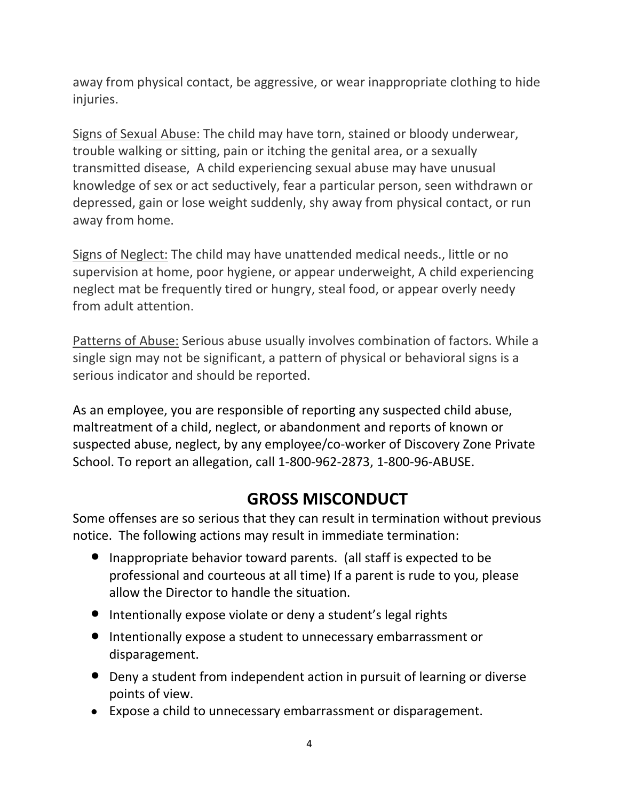away from physical contact, be aggressive, or wear inappropriate clothing to hide injuries.

Signs of Sexual Abuse: The child may have torn, stained or bloody underwear, trouble walking or sitting, pain or itching the genital area, or a sexually transmitted disease, A child experiencing sexual abuse may have unusual knowledge of sex or act seductively, fear a particular person, seen withdrawn or depressed, gain or lose weight suddenly, shy away from physical contact, or run away from home.

Signs of Neglect: The child may have unattended medical needs., little or no supervision at home, poor hygiene, or appear underweight, A child experiencing neglect mat be frequently tired or hungry, steal food, or appear overly needy from adult attention.

Patterns of Abuse: Serious abuse usually involves combination of factors. While a single sign may not be significant, a pattern of physical or behavioral signs is a serious indicator and should be reported.

As an employee, you are responsible of reporting any suspected child abuse, maltreatment of a child, neglect, or abandonment and reports of known or suspected abuse, neglect, by any employee/co-worker of Discovery Zone Private School. To report an allegation, call 1-800-962-2873, 1-800-96-ABUSE.

## **GROSS MISCONDUCT**

Some offenses are so serious that they can result in termination without previous notice. The following actions may result in immediate termination:

- Inappropriate behavior toward parents. (all staff is expected to be professional and courteous at all time) If a parent is rude to you, please allow the Director to handle the situation.
- Intentionally expose violate or deny a student's legal rights
- **•** Intentionally expose a student to unnecessary embarrassment or disparagement.
- Deny a student from independent action in pursuit of learning or diverse points of view.
- Expose a child to unnecessary embarrassment or disparagement.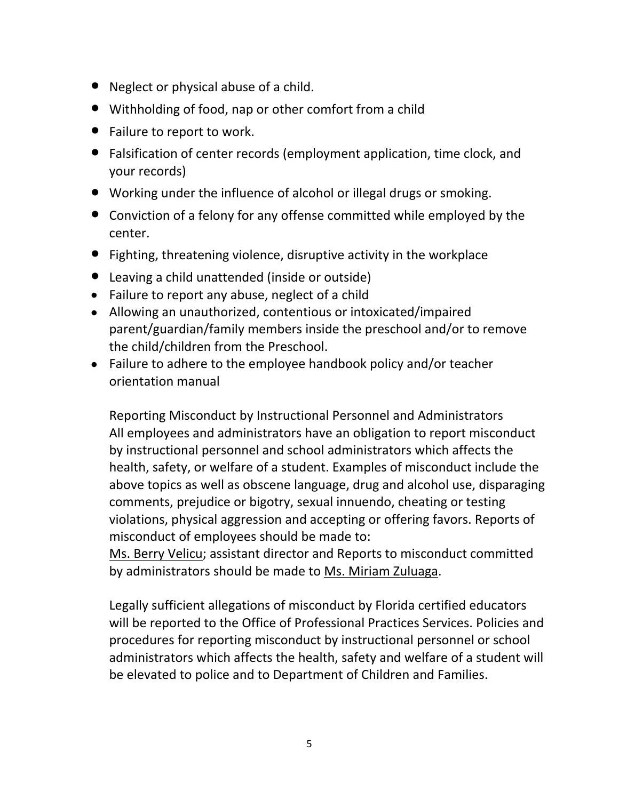- Neglect or physical abuse of a child.
- Withholding of food, nap or other comfort from a child
- Failure to report to work.
- Falsification of center records (employment application, time clock, and your records)
- Working under the influence of alcohol or illegal drugs or smoking.
- Conviction of a felony for any offense committed while employed by the center.
- Fighting, threatening violence, disruptive activity in the workplace
- Leaving a child unattended (inside or outside)
- Failure to report any abuse, neglect of a child
- Allowing an unauthorized, contentious or intoxicated/impaired parent/guardian/family members inside the preschool and/or to remove the child/children from the Preschool.
- Failure to adhere to the employee handbook policy and/or teacher orientation manual

Reporting Misconduct by Instructional Personnel and Administrators All employees and administrators have an obligation to report misconduct by instructional personnel and school administrators which affects the health, safety, or welfare of a student. Examples of misconduct include the above topics as well as obscene language, drug and alcohol use, disparaging comments, prejudice or bigotry, sexual innuendo, cheating or testing violations, physical aggression and accepting or offering favors. Reports of misconduct of employees should be made to:

Ms. Berry Velicu; assistant director and Reports to misconduct committed by administrators should be made to <u>Ms. Miriam Zuluaga</u>.<br>Legally sufficient allegations of misconduct by Florida certified educators

will be reported to the Office of Professional Practices Services. Policies and procedures for reporting misconduct by instructional personnel or school administrators which affects the health, safety and welfare of a student will be elevated to police and to Department of Children and Families.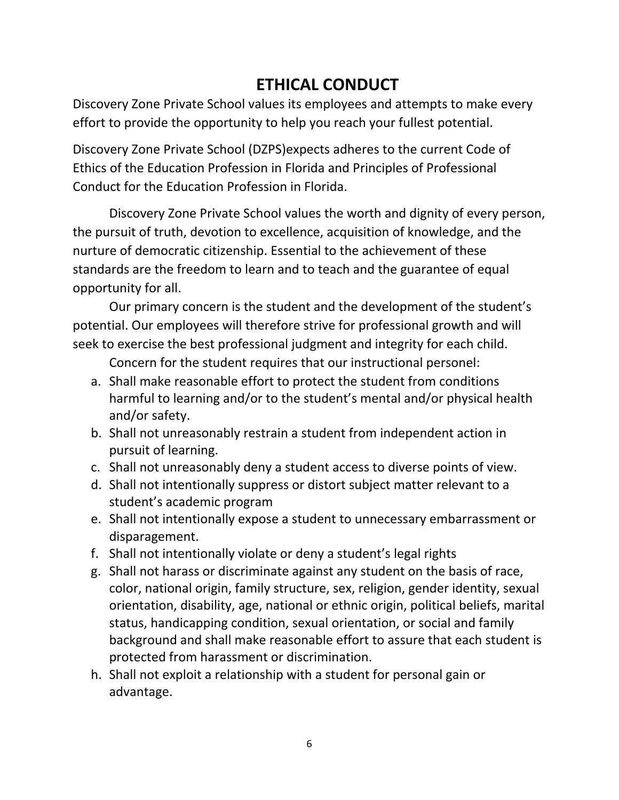# **ETHICAL CONDUCT**

Discovery Zone Private School values its employees and attempts to make every effort to provide the opportunity to help you reach your fullest potential.

Discovery Zone Private School (DZPS)expects adheres to the current Code of Ethics of the Education Profession in Florida and Principles of Professional Conduct for the Education Profession in Florida.

Discovery Zone Private School values the worth and dignity of every person, the pursuit of truth, devotion to excellence, acquisition of knowledge, and the nurture of democratic citizenship. Essential to the achievement of these standards are the freedom to learn and to teach and the guarantee of equal opportunity for all.

Our primary concern is the student and the development of the student's potential. Our employees will therefore strive for professional growth and will seek to exercise the best professional judgment and integrity for each child.

Concern for the student requires that our instructional personel:

- a. Shall make reasonable effort to protect the student from conditions harmful to learning and/or to the student's mental and/or physical health and/or safety.
- b. Shall not unreasonably restrain a student from independent action in pursuit of learning.
- c. Shall not unreasonably deny a student access to diverse points of view.
- d. Shall not intentionally suppress or distort subject matter relevant to a student's academic program
- e. Shall not intentionally expose a student to unnecessary embarrassment or disparagement.
- f. Shall not intentionally violate or deny a student's legal rights
- g. Shall not harass or discriminate against any student on the basis of race, color, national origin, family structure, sex, religion, gender identity, sexual orientation, disability, age, national or ethnic origin, political beliefs, marital status, handicapping condition, sexual orientation, or social and family background and shall make reasonable effort to assure that each student is protected from harassment or discrimination.
- h. Shall not exploit a relationship with a student for personal gain or advantage.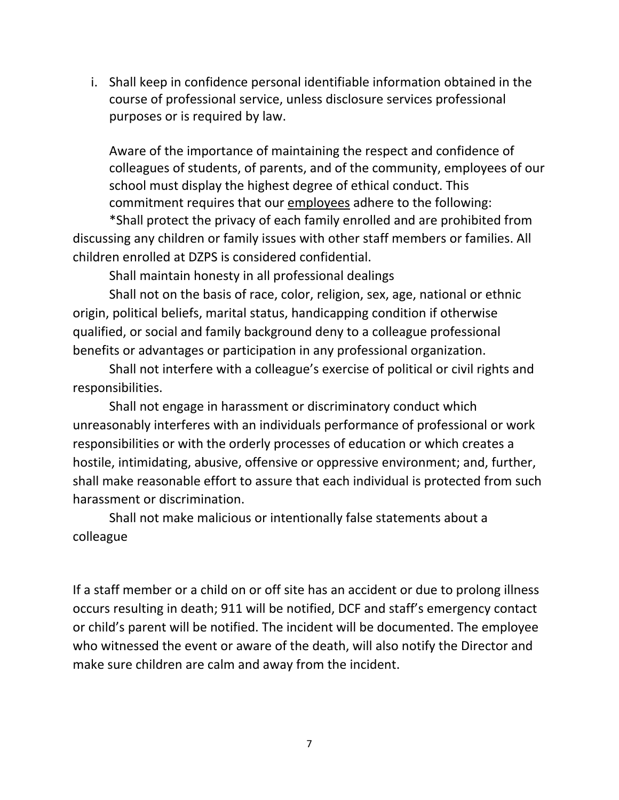i. Shall keep in confidence personal identifiable information obtained in the course of professional service, unless disclosure services professional purposes or is required by law.

Aware of the importance of maintaining the respect and confidence of colleagues of students, of parents, and of the community, employees of our school must display the highest degree of ethical conduct. This commitment requires that our employees adhere to the following:

\*Shall protect the privacy of each family enrolled and are prohibited from discussing any children or family issues with other staff members or families. All children enrolled at DZPS is considered confidential.

Shall maintain honesty in all professional dealings

Shall not on the basis of race, color, religion, sex, age, national or ethnic origin, political beliefs, marital status, handicapping condition if otherwise qualified, or social and family background deny to a colleague professional benefits or advantages or participation in any professional organization.

Shall not interfere with a colleague's exercise of political or civil rights and responsibilities.

Shall not engage in harassment or discriminatory conduct which unreasonably interferes with an individuals performance of professional or work responsibilities or with the orderly processes of education or which creates a hostile, intimidating, abusive, offensive or oppressive environment; and, further, shall make reasonable effort to assure that each individual is protected from such harassment or discrimination.

Shall not make malicious or intentionally false statements about a colleague

If a staff member or a child on or off site has an accident or due to prolong illness occurs resulting in death; 911 will be notified, DCF and staff's emergency contact or child's parent will be notified. The incident will be documented. The employee who witnessed the event or aware of the death, will also notify the Director and make sure children are calm and away from the incident.